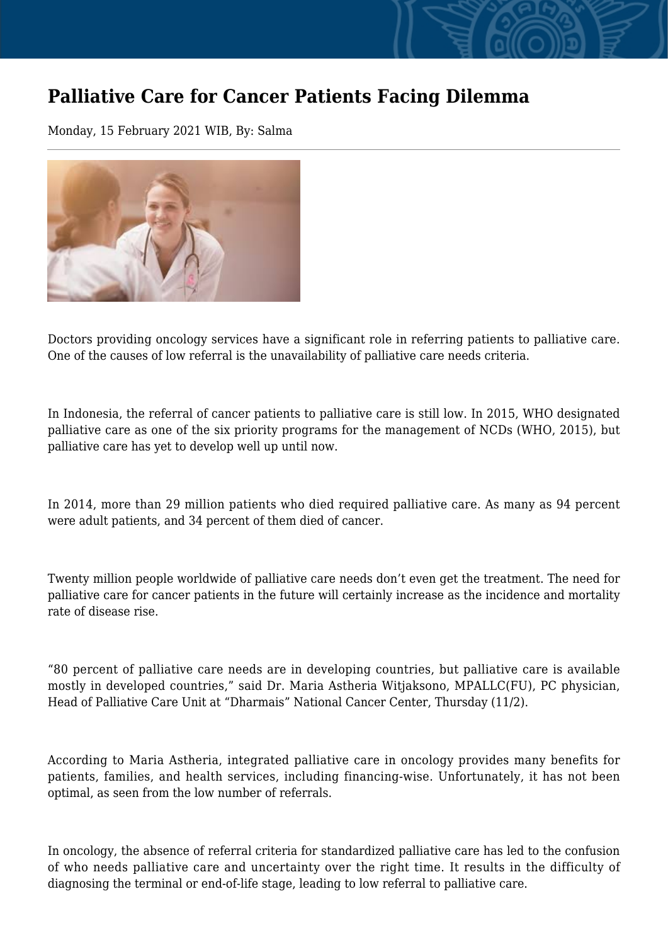## **Palliative Care for Cancer Patients Facing Dilemma**

Monday, 15 February 2021 WIB, By: Salma



Doctors providing oncology services have a significant role in referring patients to palliative care. One of the causes of low referral is the unavailability of palliative care needs criteria.

In Indonesia, the referral of cancer patients to palliative care is still low. In 2015, WHO designated palliative care as one of the six priority programs for the management of NCDs (WHO, 2015), but palliative care has yet to develop well up until now.

In 2014, more than 29 million patients who died required palliative care. As many as 94 percent were adult patients, and 34 percent of them died of cancer.

Twenty million people worldwide of palliative care needs don't even get the treatment. The need for palliative care for cancer patients in the future will certainly increase as the incidence and mortality rate of disease rise.

"80 percent of palliative care needs are in developing countries, but palliative care is available mostly in developed countries," said Dr. Maria Astheria Witjaksono, MPALLC(FU), PC physician, Head of Palliative Care Unit at "Dharmais" National Cancer Center, Thursday (11/2).

According to Maria Astheria, integrated palliative care in oncology provides many benefits for patients, families, and health services, including financing-wise. Unfortunately, it has not been optimal, as seen from the low number of referrals.

In oncology, the absence of referral criteria for standardized palliative care has led to the confusion of who needs palliative care and uncertainty over the right time. It results in the difficulty of diagnosing the terminal or end-of-life stage, leading to low referral to palliative care.